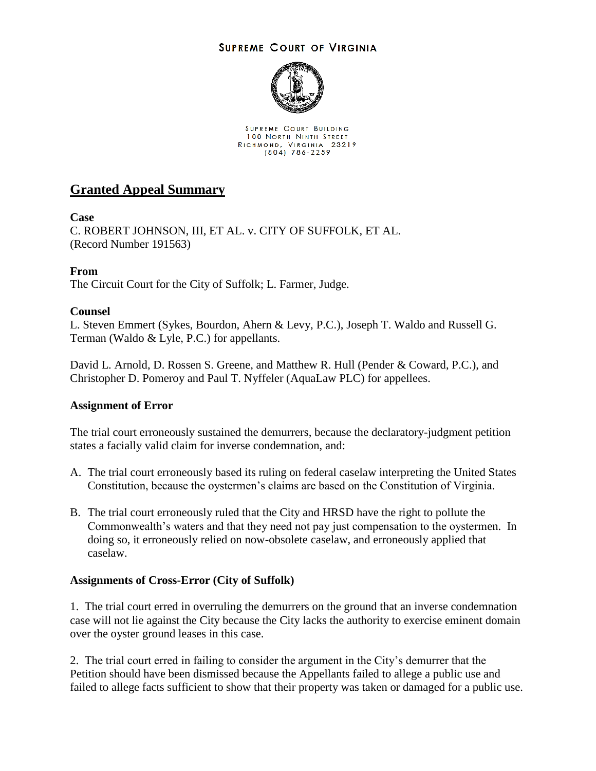## **SUPREME COURT OF VIRGINIA**



SUPREME COURT BUILDING 100 NORTH NINTH STREET RICHMOND, VIRGINIA 23219

# **Granted Appeal Summary**

## **Case**

C. ROBERT JOHNSON, III, ET AL. v. CITY OF SUFFOLK, ET AL. (Record Number 191563)

# **From**

The Circuit Court for the City of Suffolk; L. Farmer, Judge.

## **Counsel**

L. Steven Emmert (Sykes, Bourdon, Ahern & Levy, P.C.), Joseph T. Waldo and Russell G. Terman (Waldo & Lyle, P.C.) for appellants.

David L. Arnold, D. Rossen S. Greene, and Matthew R. Hull (Pender & Coward, P.C.), and Christopher D. Pomeroy and Paul T. Nyffeler (AquaLaw PLC) for appellees.

#### **Assignment of Error**

The trial court erroneously sustained the demurrers, because the declaratory-judgment petition states a facially valid claim for inverse condemnation, and:

- A. The trial court erroneously based its ruling on federal caselaw interpreting the United States Constitution, because the oystermen's claims are based on the Constitution of Virginia.
- B. The trial court erroneously ruled that the City and HRSD have the right to pollute the Commonwealth's waters and that they need not pay just compensation to the oystermen. In doing so, it erroneously relied on now-obsolete caselaw, and erroneously applied that caselaw.

#### **Assignments of Cross-Error (City of Suffolk)**

1. The trial court erred in overruling the demurrers on the ground that an inverse condemnation case will not lie against the City because the City lacks the authority to exercise eminent domain over the oyster ground leases in this case.

2. The trial court erred in failing to consider the argument in the City's demurrer that the Petition should have been dismissed because the Appellants failed to allege a public use and failed to allege facts sufficient to show that their property was taken or damaged for a public use.